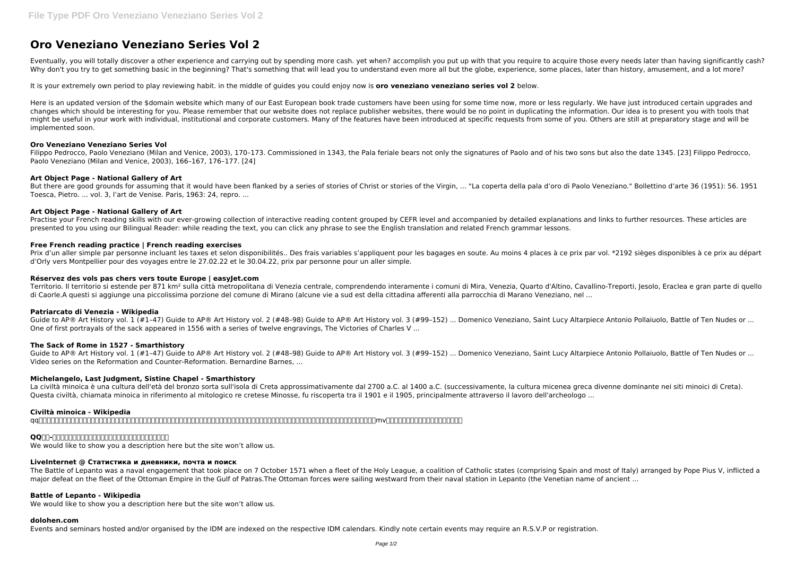# **Oro Veneziano Veneziano Series Vol 2**

Eventually, you will totally discover a other experience and carrying out by spending more cash. yet when? accomplish you put up with that you require to acquire those every needs later than having significantly cash? Why don't you try to get something basic in the beginning? That's something that will lead you to understand even more all but the globe, experience, some places, later than history, amusement, and a lot more?

It is your extremely own period to play reviewing habit. in the middle of guides you could enjoy now is **oro veneziano veneziano series vol 2** below.

Here is an updated version of the \$domain website which many of our East European book trade customers have been using for some time now, more or less regularly. We have just introduced certain upgrades and changes which should be interesting for you. Please remember that our website does not replace publisher websites, there would be no point in duplicating the information. Our idea is to present you with tools that might be useful in your work with individual, institutional and corporate customers. Many of the features have been introduced at specific requests from some of you. Others are still at preparatory stage and will be implemented soon.

Filippo Pedrocco, Paolo Veneziano (Milan and Venice, 2003), 170-173. Commissioned in 1343, the Pala feriale bears not only the signatures of Paolo and of his two sons but also the date 1345. [23] Filippo Pedrocco, Paolo Veneziano (Milan and Venice, 2003), 166–167, 176–177. [24]

# **Oro Veneziano Veneziano Series Vol**

Prix d'un aller simple par personne incluant les taxes et selon disponibilités.. Des frais variables s'appliquent pour les bagages en soute. Au moins 4 places à ce prix par vol. \*2192 sièges disponibles à ce prix au départ d'Orly vers Montpellier pour des voyages entre le 27.02.22 et le 30.04.22, prix par personne pour un aller simple.

Territorio. Il territorio si estende per 871 km<sup>2</sup> sulla città metropolitana di Venezia centrale, comprendendo interamente i comuni di Mira, Venezia, Quarto d'Altino, Cavallino-Treporti, Jesolo, Eraclea e gran parte di que di Caorle.A questi si aggiunge una piccolissima porzione del comune di Mirano (alcune vie a sud est della cittadina afferenti alla parrocchia di Marano Veneziano, nel ...

# **Art Object Page - National Gallery of Art**

Guide to AP® Art History vol. 1 (#1–47) Guide to AP® Art History vol. 2 (#48–98) Guide to AP® Art History vol. 3 (#99–152) ... Domenico Veneziano, Saint Lucy Altarpiece Antonio Pollaiuolo, Battle of Ten Nudes or ... One of first portrayals of the sack appeared in 1556 with a series of twelve engravings, The Victories of Charles V ...

But there are good grounds for assuming that it would have been flanked by a series of stories of Christ or stories of the Virgin, ... "La coperta della pala d'oro di Paolo Veneziano." Bollettino d'arte 36 (1951): 56. 1951 Toesca, Pietro. ... vol. 3, l'art de Venise. Paris, 1963: 24, repro. ...

Guide to AP® Art History vol. 1 (#1-47) Guide to AP® Art History vol. 2 (#48-98) Guide to AP® Art History vol. 3 (#99-152) ... Domenico Veneziano, Saint Lucy Altarpiece Antonio Pollaiuolo, Battle of Ten Nudes or ... Video series on the Reformation and Counter-Reformation. Bernardine Barnes, ...

#### **Art Object Page - National Gallery of Art**

Practise your French reading skills with our ever-growing collection of interactive reading content grouped by CEFR level and accompanied by detailed explanations and links to further resources. These articles are presented to you using our Bilingual Reader: while reading the text, you can click any phrase to see the English translation and related French grammar lessons.

#### **Free French reading practice | French reading exercises**

#### **Réservez des vols pas chers vers toute Europe | easyJet.com**

#### **Patriarcato di Venezia - Wikipedia**

# **The Sack of Rome in 1527 - Smarthistory**

# **Michelangelo, Last Judgment, Sistine Chapel - Smarthistory**

La civiltà minoica è una cultura dell'età del bronzo sorta sull'isola di Creta approssimativamente dal 2700 a.C. al 1400 a.C. (successivamente, la cultura micenea greca divenne dominante nei siti minoici di Creta). Questa civiltà, chiamata minoica in riferimento al mitologico re cretese Minosse, fu riscoperta tra il 1901 e il 1905, principalmente attraverso il lavoro dell'archeologo ...

# **Civiltà minoica - Wikipedia**

qq音乐是腾讯公司推出的一款网络音乐服务产品,海量音乐在线试听、新歌热歌在线首发、歌词翻译、手机铃声下载、高品质无损音乐试听、海量无损曲库、正版音乐下载、空间背景音乐设置、mv观看等,是互联网音乐播放和下载的优选。

# **QQaa-aanaanaanaanaanaanaanaanaanaa**

We would like to show you a description here but the site won't allow us.

#### **LiveInternet @ Статистика и дневники, почта и поиск**

The Battle of Lepanto was a naval engagement that took place on 7 October 1571 when a fleet of the Holy League, a coalition of Catholic states (comprising Spain and most of Italy) arranged by Pope Pius V, inflicted a major defeat on the fleet of the Ottoman Empire in the Gulf of Patras.The Ottoman forces were sailing westward from their naval station in Lepanto (the Venetian name of ancient ...

# **Battle of Lepanto - Wikipedia**

We would like to show you a description here but the site won't allow us.

#### **dolohen.com**

Events and seminars hosted and/or organised by the IDM are indexed on the respective IDM calendars. Kindly note certain events may require an R.S.V.P or registration.